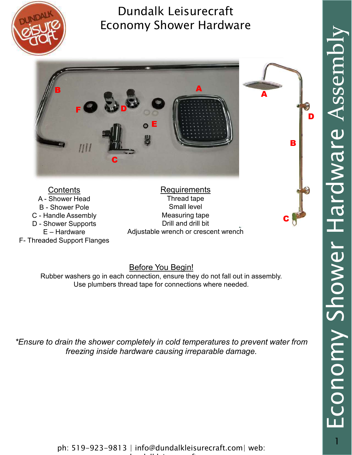



**Contents** 

**Requirements** Thread tape Small level Measuring tape Drill and drill bit Adjustable wrench or crescent wrench

#### Before You Begin!

Rubber washers go in each connection, ensure they do not fall out in assembly. Use plumbers thread tape for connections where needed.

\*Ensure to drain the shower completely in cold temperatures to prevent water from freezing inside hardware causing irreparable damage.

ph: 519-923-9813 | info@dundalkleisurecraft.com| web: ww.dundalkleisurecraft.com/www.dundalkleisurecraft.com/www.dundalkleisurecraft.com/www.dundalkleisurecraft.com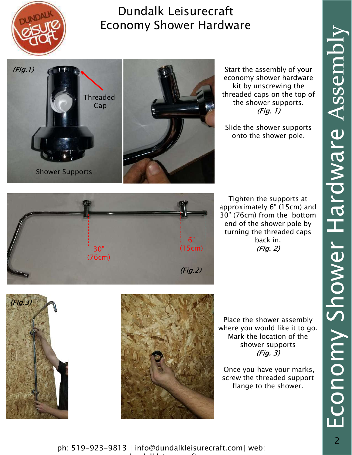



Start the assembly of your economy shower hardware kit by unscrewing the threaded caps on the top of the shower supports. (Fig. 1)

Slide the shower supports onto the shower pole.



Tighten the supports at approximately 6" (15cm) and 30" (76cm) from the bottom end of the shower pole by turning the threaded caps back in. (Fig. 2) 6"





Place the shower assembly where you would like it to go. Mark the location of the shower supports (Fig. 3)

Once you have your marks, screw the threaded support flange to the shower.

ph: 519-923-9813 | info@dundalkleisurecraft.com| web: ww.dundalkleisurecraft.com/www.dundalkleisurecraft.com/www.dundalkleisurecraft.com/www.dundalkleisurecraft.com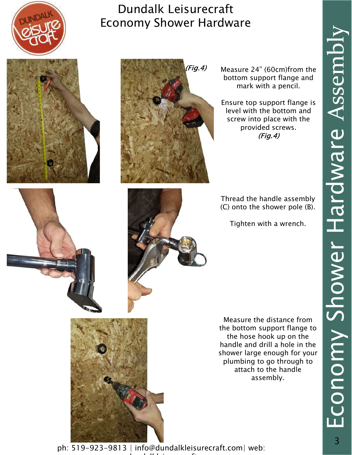





(Fig.4) Measure 24" (60cm)from the  $\Box$ bottom support flange and mark with a pencil.

> Ensure top support flange is level with the bottom and screw into place with the provided screws. (Fig.4)

Thread the handle assembly (C) onto the shower pole (B).

Tighten with a wrench.

Measure the distance from the bottom support flange to the hose hook up on the handle and drill a hole in the shower large enough for your plumbing to go through to attach to the handle assembly.

ph: 519-923-9813 | info@dundalkleisurecraft.com| web: ww.dundalkleisurecraft.com/www.dundalkleisurecraft.com/www.dundalkleisurecraft.com/www.dundalkleisurecraft.com